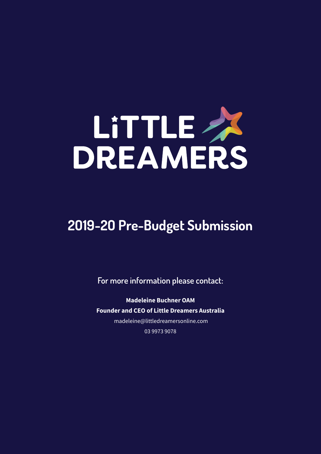

# **2O19-2O Pre-Budget Submission**

**For more information please contact:**

**Madeleine Buchner OAM Founder and CEO of Little Dreamers Australia** madeleine@littledreamersonline.com 03 9973 9078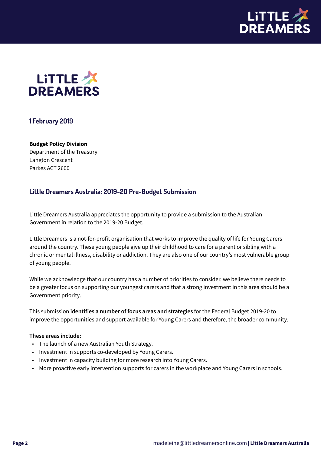



# **1 February 2O19**

#### **Budget Policy Division**

Department of the Treasury Langton Crescent Parkes ACT 2600

### **Little Dreamers Australia: 2O19-2O Pre-Budget Submission**

Little Dreamers Australia appreciates the opportunity to provide a submission to the Australian Government in relation to the 2019-20 Budget.

Little Dreamers is a not-for-profit organisation that works to improve the quality of life for Young Carers around the country. These young people give up their childhood to care for a parent or sibling with a chronic or mental illness, disability or addiction. They are also one of our country's most vulnerable group of young people.

While we acknowledge that our country has a number of priorities to consider, we believe there needs to be a greater focus on supporting our youngest carers and that a strong investment in this area should be a Government priority.

This submission **identifies a number of focus areas and strategies** for the Federal Budget 2019-20 to improve the opportunities and support available for Young Carers and therefore, the broader community.

#### **These areas include:**

- The launch of a new Australian Youth Strategy.
- Investment in supports co-developed by Young Carers.
- Investment in capacity building for more research into Young Carers.
- More proactive early intervention supports for carers in the workplace and Young Carers in schools.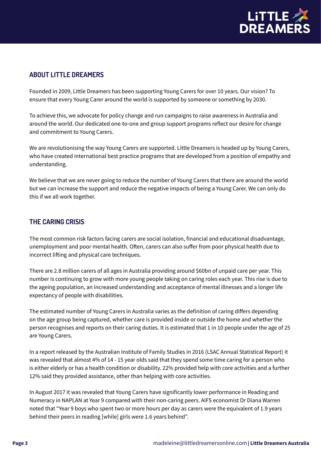

# **ABOUT LITTLE DREAMERS**

Founded in 2009, Little Dreamers has been supporting Young Carers for over 10 years. Our vision? To ensure that every Young Carer around the world is supported by someone or something by 2030.

To achieve this, we advocate for policy change and run campaigns to raise awareness in Australia and around the world. Our dedicated one-to-one and group support programs reflect our desire for change and commitment to Young Carers.

We are revolutionising the way Young Carers are supported. Little Dreamers is headed up by Young Carers, who have created international best practice programs that are developed from a position of empathy and understanding.

We believe that we are never going to reduce the number of Young Carers that there are around the world but we can increase the support and reduce the negative impacts of being a Young Carer. We can only do this if we all work together.

## **THE CARING CRISIS**

The most common risk factors facing carers are social isolation, financial and educational disadvantage, unemployment and poor mental health. Often, carers can also suffer from poor physical health due to incorrect lifting and physical care techniques.

There are 2.8 million carers of all ages in Australia providing around \$60bn of unpaid care per year. This number is continuing to grow with more young people taking on caring roles each year. This rise is due to the ageing population, an increased understanding and acceptance of mental illnesses and a longer life expectancy of people with disabilities.

The estimated number of Young Carers in Australia varies as the definition of caring differs depending on the age group being captured, whether care is provided inside or outside the home and whether the person recognises and reports on their caring duties. It is estimated that 1 in 10 people under the age of 25 are Young Carers.

In a report released by the Australian Institute of Family Studies in 2016 (LSAC Annual Statistical Report) it was revealed that almost 4% of 14 - 15 year olds said that they spend some time caring for a person who is either elderly or has a health condition or disability. 22% provided help with core activities and a further 12% said they provided assistance, other than helping with core activities.

In August 2017 it was revealed that Young Carers have significantly lower performance in Reading and Numeracy in NAPLAN at Year 9 compared with their non-caring peers. AIFS economist Dr Diana Warren noted that "Year 9 boys who spent two or more hours per day as carers were the equivalent of 1.9 years behind their peers in reading [while] girls were 1.6 years behind".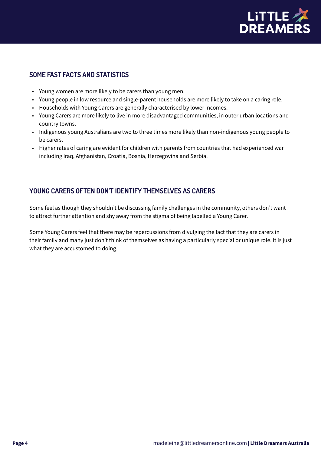

# **SOME FAST FACTS AND STATISTICS**

- Young women are more likely to be carers than young men.
- Young people in low resource and single-parent households are more likely to take on a caring role.
- Households with Young Carers are generally characterised by lower incomes.
- Young Carers are more likely to live in more disadvantaged communities, in outer urban locations and country towns.
- Indigenous young Australians are two to three times more likely than non-indigenous young people to be carers.
- Higher rates of caring are evident for children with parents from countries that had experienced war including Iraq, Afghanistan, Croatia, Bosnia, Herzegovina and Serbia.

# **YOUNG CARERS OFTEN DON'T IDENTIFY THEMSELVES AS CARERS**

Some feel as though they shouldn't be discussing family challenges in the community, others don't want to attract further attention and shy away from the stigma of being labelled a Young Carer.

Some Young Carers feel that there may be repercussions from divulging the fact that they are carers in their family and many just don't think of themselves as having a particularly special or unique role. It is just what they are accustomed to doing.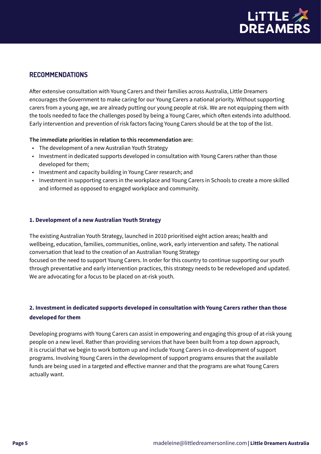

## **RECOMMENDATIONS**

After extensive consultation with Young Carers and their families across Australia, Little Dreamers encourages the Government to make caring for our Young Carers a national priority. Without supporting carers from a young age, we are already putting our young people at risk. We are not equipping them with the tools needed to face the challenges posed by being a Young Carer, which often extends into adulthood. Early intervention and prevention of risk factors facing Young Carers should be at the top of the list.

#### **The immediate priorities in relation to this recommendation are:**

- The development of a new Australian Youth Strategy
- Investment in dedicated supports developed in consultation with Young Carers rather than those developed for them;
- Investment and capacity building in Young Carer research; and
- Investment in supporting carers in the workplace and Young Carers in Schools to create a more skilled and informed as opposed to engaged workplace and community.

#### **1. Development of a new Australian Youth Strategy**

The existing Australian Youth Strategy, launched in 2010 prioritised eight action areas; health and wellbeing, education, families, communities, online, work, early intervention and safety. The national conversation that lead to the creation of an Australian Young Strategy

focused on the need to support Young Carers. In order for this country to continue supporting our youth through preventative and early intervention practices, this strategy needs to be redeveloped and updated. We are advocating for a focus to be placed on at-risk youth.

# **2. Investment in dedicated supports developed in consultation with Young Carers rather than those developed for them**

Developing programs with Young Carers can assist in empowering and engaging this group of at-risk young people on a new level. Rather than providing services that have been built from a top down approach, it is crucial that we begin to work bottom up and include Young Carers in co-development of support programs. Involving Young Carers in the development of support programs ensures that the available funds are being used in a targeted and effective manner and that the programs are what Young Carers actually want.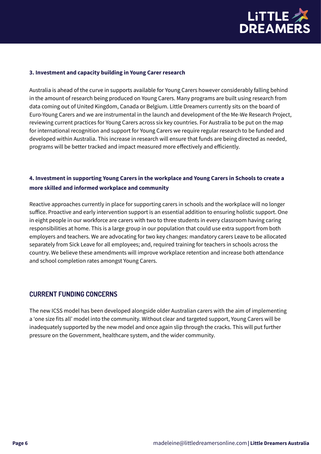

#### **3. Investment and capacity building in Young Carer research**

Australia is ahead of the curve in supports available for Young Carers however considerably falling behind in the amount of research being produced on Young Carers. Many programs are built using research from data coming out of United Kingdom, Canada or Belgium. Little Dreamers currently sits on the board of Euro-Young Carers and we are instrumental in the launch and development of the Me-We Research Project, reviewing current practices for Young Carers across six key countries. For Australia to be put on the map for international recognition and support for Young Carers we require regular research to be funded and developed within Australia. This increase in research will ensure that funds are being directed as needed, programs will be better tracked and impact measured more effectively and efficiently.

## **4. Investment in supporting Young Carers in the workplace and Young Carers in Schools to create a more skilled and informed workplace and community**

Reactive approaches currently in place for supporting carers in schools and the workplace will no longer suffice. Proactive and early intervention support is an essential addition to ensuring holistic support. One in eight people in our workforce are carers with two to three students in every classroom having caring responsibilities at home. This is a large group in our population that could use extra support from both employers and teachers. We are advocating for two key changes: mandatory carers Leave to be allocated separately from Sick Leave for all employees; and, required training for teachers in schools across the country. We believe these amendments will improve workplace retention and increase both attendance and school completion rates amongst Young Carers.

#### **CURRENT FUNDING CONCERNS**

The new ICSS model has been developed alongside older Australian carers with the aim of implementing a 'one size fits all' model into the community. Without clear and targeted support, Young Carers will be inadequately supported by the new model and once again slip through the cracks. This will put further pressure on the Government, healthcare system, and the wider community.